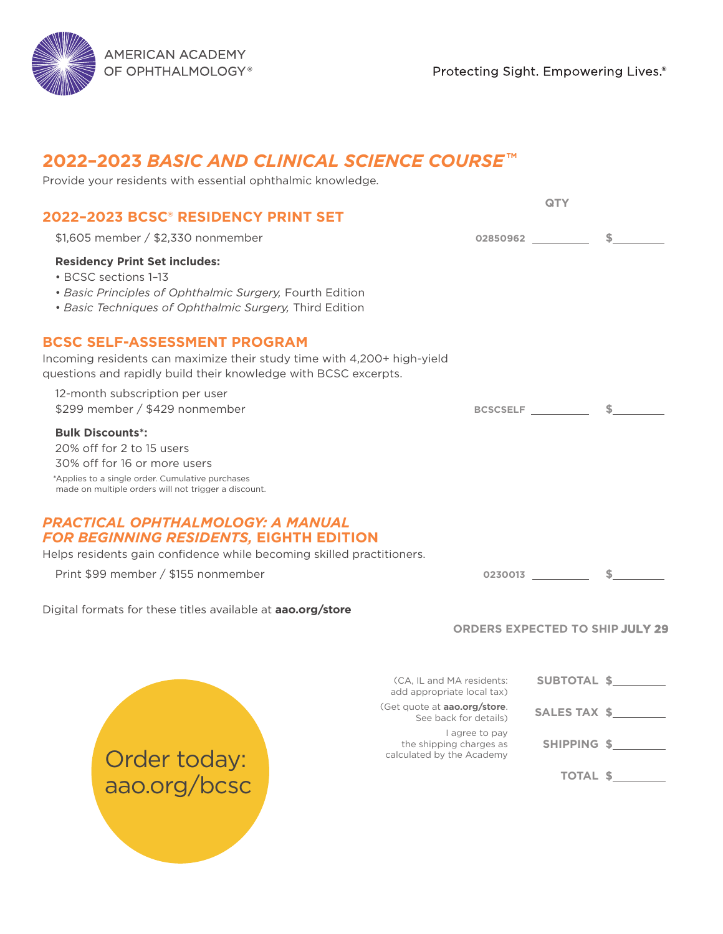AMERICAN ACADEMY OF OPHTHALMOLOGY®

Protecting Sight. Empowering Lives.®

# **2022–2023** *BASIC AND CLINICAL SCIENCE COURSE* **TM**

| Provide your residents with essential ophthalmic knowledge.                                                                                                                                      |                                                                        |                                        |              |
|--------------------------------------------------------------------------------------------------------------------------------------------------------------------------------------------------|------------------------------------------------------------------------|----------------------------------------|--------------|
|                                                                                                                                                                                                  |                                                                        | QTY                                    |              |
| 2022-2023 BCSC® RESIDENCY PRINT SET                                                                                                                                                              |                                                                        |                                        |              |
| \$1,605 member / \$2,330 nonmember                                                                                                                                                               |                                                                        | 02850962 2003/02850962                 | s.           |
| <b>Residency Print Set includes:</b><br>• BCSC sections 1-13                                                                                                                                     |                                                                        |                                        |              |
| • Basic Principles of Ophthalmic Surgery, Fourth Edition<br>• Basic Techniques of Ophthalmic Surgery, Third Edition                                                                              |                                                                        |                                        |              |
| <b>BCSC SELF-ASSESSMENT PROGRAM</b><br>Incoming residents can maximize their study time with 4,200+ high-yield<br>questions and rapidly build their knowledge with BCSC excerpts.                |                                                                        |                                        |              |
| 12-month subscription per user<br>\$299 member / \$429 nonmember                                                                                                                                 |                                                                        | BCSCSELF _                             | S.           |
| <b>Bulk Discounts*:</b><br>20% off for 2 to 15 users<br>30% off for 16 or more users<br>*Applies to a single order. Cumulative purchases<br>made on multiple orders will not trigger a discount. |                                                                        |                                        |              |
| <b>PRACTICAL OPHTHALMOLOGY: A MANUAL</b><br><b>FOR BEGINNING RESIDENTS, EIGHTH EDITION</b><br>Helps residents gain confidence while becoming skilled practitioners.                              |                                                                        |                                        |              |
| Print \$99 member / \$155 nonmember                                                                                                                                                              |                                                                        | $0230013$ $\longrightarrow$ \$         |              |
| Digital formats for these titles available at aao.org/store                                                                                                                                      |                                                                        |                                        |              |
|                                                                                                                                                                                                  |                                                                        | <b>ORDERS EXPECTED TO SHIP JULY 29</b> |              |
|                                                                                                                                                                                                  | (CA, IL and MA residents:<br>add appropriate local tax)                | SUBTOTAL \$                            |              |
|                                                                                                                                                                                                  | (Get quote at <b>aao.org/store</b> .<br>See back for details)          |                                        | SALES TAX \$ |
| Order today:                                                                                                                                                                                     | I agree to pay<br>the shipping charges as<br>calculated by the Academy |                                        | SHIPPING \$  |
| aao.org/bcsc                                                                                                                                                                                     |                                                                        |                                        | TOTAL \$     |